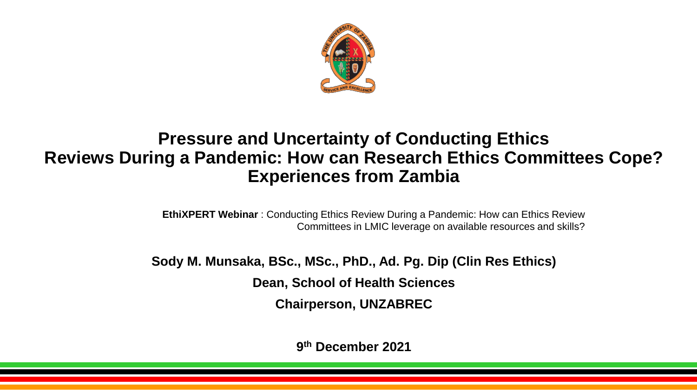

#### **Pressure and Uncertainty of Conducting Ethics Reviews During a Pandemic: How can Research Ethics Committees Cope? Experiences from Zambia**

**EthiXPERT Webinar** : Conducting Ethics Review During a Pandemic: How can Ethics Review Committees in LMIC leverage on available resources and skills?

**Sody M. Munsaka, BSc., MSc., PhD., Ad. Pg. Dip (Clin Res Ethics) Dean, School of Health Sciences** 

**Chairperson, UNZABREC** 

**9 th December 2021**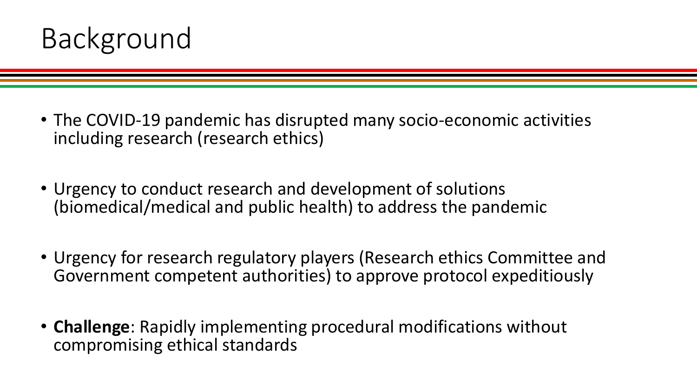

- The COVID-19 pandemic has disrupted many socio-economic activities including research (research ethics)
- Urgency to conduct research and development of solutions (biomedical/medical and public health) to address the pandemic
- Urgency for research regulatory players (Research ethics Committee and Government competent authorities) to approve protocol expeditiously
- **Challenge**: Rapidly implementing procedural modifications without compromising ethical standards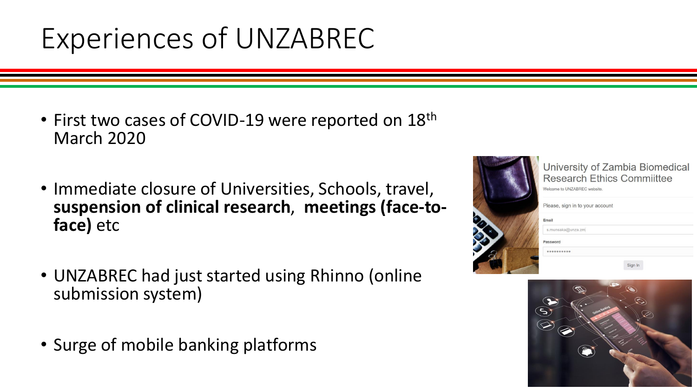## Experiences of UNZABREC

- First two cases of COVID-19 were reported on 18<sup>th</sup> March 2020
- Immediate closure of Universities, Schools, travel, **suspension of clinical research**, **meetings (face-toface)** etc
- UNZABREC had just started using Rhinno (online submission system)
- Surge of mobile banking platforms



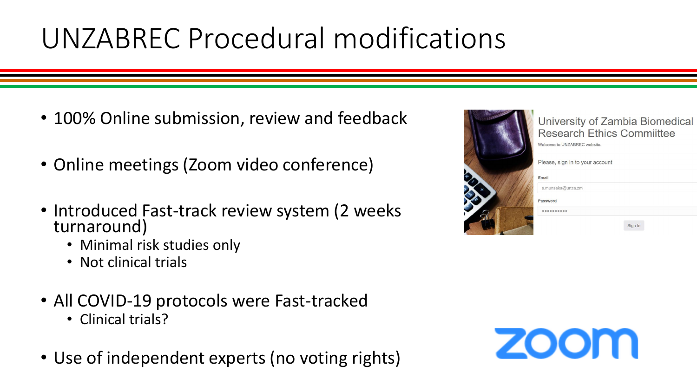## UNZABREC Procedural modifications

- 100% Online submission, review and feedback
- Online meetings (Zoom video conference)
- Introduced Fast-track review system (2 weeks turnaround)
	- Minimal risk studies only
	- Not clinical trials
- All COVID-19 protocols were Fast-tracked
	- Clinical trials?
- Use of independent experts (no voting rights)



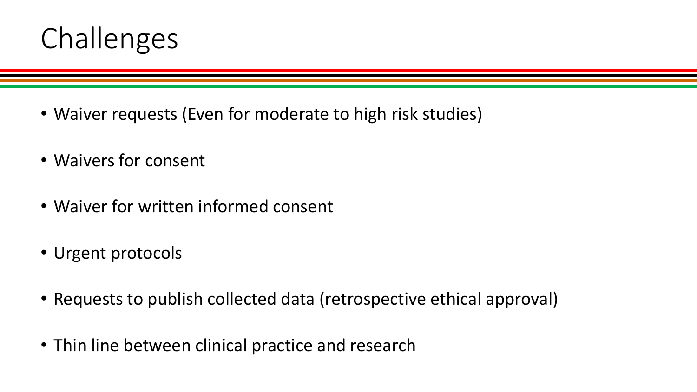

- Waiver requests (Even for moderate to high risk studies)
- Waivers for consent
- Waiver for written informed consent
- Urgent protocols
- Requests to publish collected data (retrospective ethical approval)
- Thin line between clinical practice and research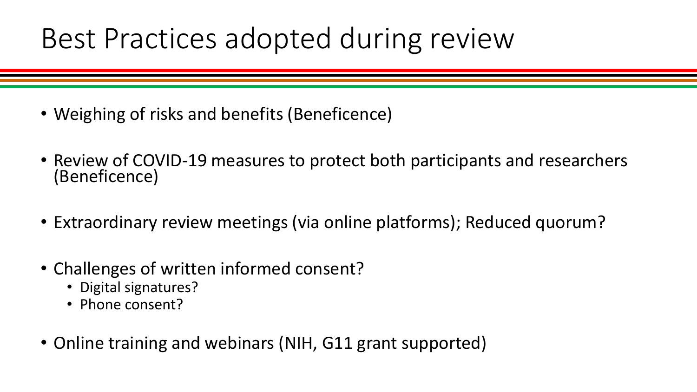#### Best Practices adopted during review

- Weighing of risks and benefits (Beneficence)
- Review of COVID-19 measures to protect both participants and researchers (Beneficence)
- Extraordinary review meetings (via online platforms); Reduced quorum?
- Challenges of written informed consent?
	- Digital signatures?
	- Phone consent?
- Online training and webinars (NIH, G11 grant supported)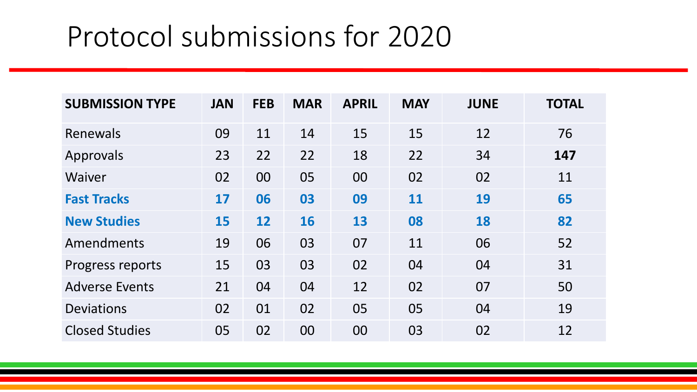| <b>SUBMISSION TYPE</b> | <b>JAN</b> | <b>FEB</b> | <b>MAR</b> | <b>APRIL</b> | <b>MAY</b> | <b>JUNE</b> | <b>TOTAL</b> |
|------------------------|------------|------------|------------|--------------|------------|-------------|--------------|
| Renewals               | 09         | 11         | 14         | 15           | 15         | 12          | 76           |
| Approvals              | 23         | 22         | 22         | 18           | 22         | 34          | 147          |
| Waiver                 | 02         | 00         | 05         | 00           | 02         | 02          | 11           |
| <b>Fast Tracks</b>     | 17         | 06         | 03         | 09           | <b>11</b>  | 19          | 65           |
| <b>New Studies</b>     | 15         | 12         | <b>16</b>  | 13           | 08         | 18          | 82           |
| Amendments             | 19         | 06         | 03         | 07           | 11         | 06          | 52           |
| Progress reports       | 15         | 03         | 03         | 02           | 04         | 04          | 31           |
| <b>Adverse Events</b>  | 21         | 04         | 04         | 12           | 02         | 07          | 50           |
| <b>Deviations</b>      | 02         | 01         | 02         | 05           | 05         | 04          | 19           |
| <b>Closed Studies</b>  | 05         | 02         | 00         | 00           | 03         | 02          | 12           |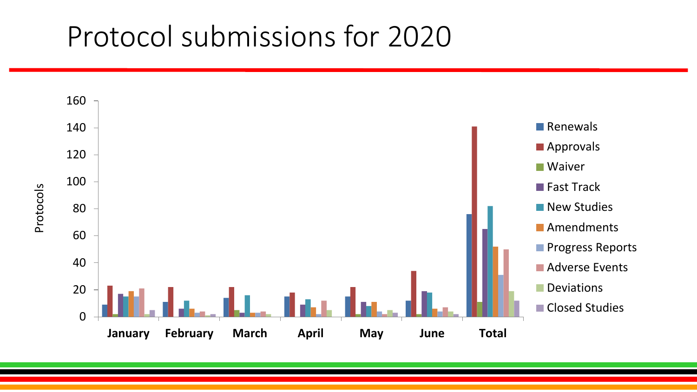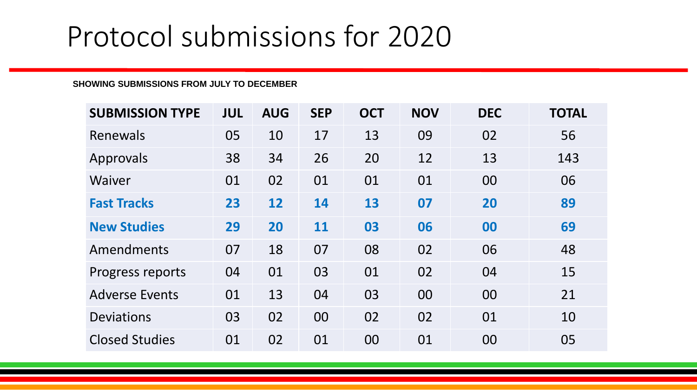#### **SHOWING SUBMISSIONS FROM JULY TO DECEMBER**

| <b>SUBMISSION TYPE</b> | <b>JUL</b> | <b>AUG</b> | <b>SEP</b> | <b>OCT</b> | <b>NOV</b> | <b>DEC</b> | <b>TOTAL</b> |
|------------------------|------------|------------|------------|------------|------------|------------|--------------|
| Renewals               | 05         | 10         | 17         | 13         | 09         | 02         | 56           |
| Approvals              | 38         | 34         | 26         | 20         | 12         | 13         | 143          |
| Waiver                 | 01         | 02         | 01         | 01         | 01         | 00         | 06           |
| <b>Fast Tracks</b>     | 23         | 12         | 14         | 13         | 07         | 20         | 89           |
| <b>New Studies</b>     | 29         | 20         | 11         | 03         | 06         | 00         | 69           |
| Amendments             | 07         | 18         | 07         | 08         | 02         | 06         | 48           |
| Progress reports       | 04         | 01         | 03         | 01         | 02         | 04         | 15           |
| <b>Adverse Events</b>  | 01         | 13         | 04         | 03         | 00         | 00         | 21           |
| <b>Deviations</b>      | 03         | 02         | 00         | 02         | 02         | 01         | 10           |
| <b>Closed Studies</b>  | 01         | 02         | 01         | 00         | 01         | 00         | 05           |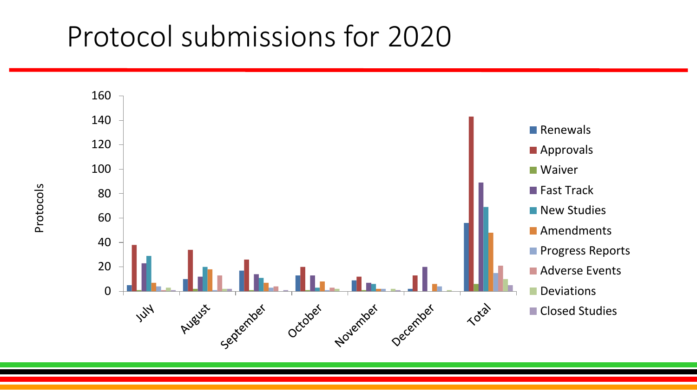

Protocols